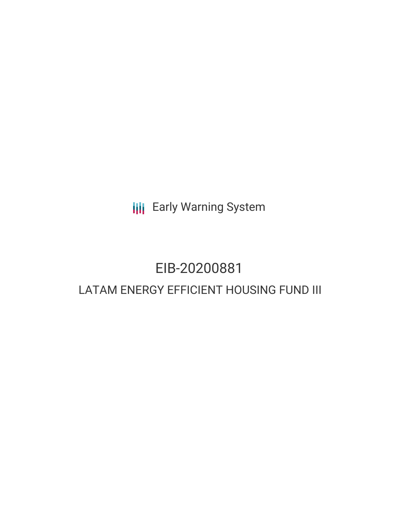**III** Early Warning System

# EIB-20200881 LATAM ENERGY EFFICIENT HOUSING FUND III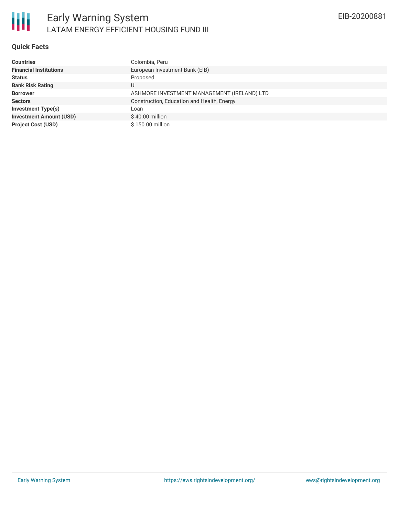

# **Quick Facts**

| <b>Countries</b>               | Colombia, Peru                              |
|--------------------------------|---------------------------------------------|
| <b>Financial Institutions</b>  | European Investment Bank (EIB)              |
| <b>Status</b>                  | Proposed                                    |
| <b>Bank Risk Rating</b>        | U                                           |
| <b>Borrower</b>                | ASHMORE INVESTMENT MANAGEMENT (IRELAND) LTD |
| <b>Sectors</b>                 | Construction, Education and Health, Energy  |
| <b>Investment Type(s)</b>      | Loan                                        |
| <b>Investment Amount (USD)</b> | $$40.00$ million                            |
| <b>Project Cost (USD)</b>      | \$150.00 million                            |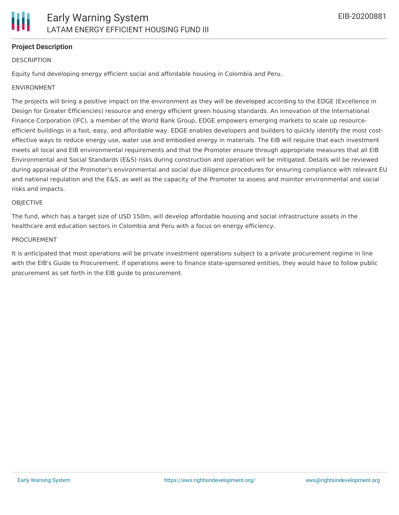# **Project Description**

#### **DESCRIPTION**

Equity fund developing energy efficient social and affordable housing in Colombia and Peru.

#### ENVIRONMENT

The projects will bring a positive impact on the environment as they will be developed according to the EDGE (Excellence in Design for Greater Efficiencies) resource and energy efficient green housing standards. An innovation of the International Finance Corporation (IFC), a member of the World Bank Group, EDGE empowers emerging markets to scale up resourceefficient buildings in a fast, easy, and affordable way. EDGE enables developers and builders to quickly identify the most costeffective ways to reduce energy use, water use and embodied energy in materials. The EIB will require that each investment meets all local and EIB environmental requirements and that the Promoter ensure through appropriate measures that all EIB Environmental and Social Standards (E&S) risks during construction and operation will be mitigated. Details will be reviewed during appraisal of the Promoter's environmental and social due diligence procedures for ensuring compliance with relevant EU and national regulation and the E&S, as well as the capacity of the Promoter to assess and monitor environmental and social risks and impacts.

#### **OBIECTIVE**

The fund, which has a target size of USD 150m, will develop affordable housing and social infrastructure assets in the healthcare and education sectors in Colombia and Peru with a focus on energy efficiency.

#### PROCUREMENT

It is anticipated that most operations will be private investment operations subject to a private procurement regime in line with the EIB's Guide to Procurement. If operations were to finance state-sponsored entities, they would have to follow public procurement as set forth in the EIB guide to procurement.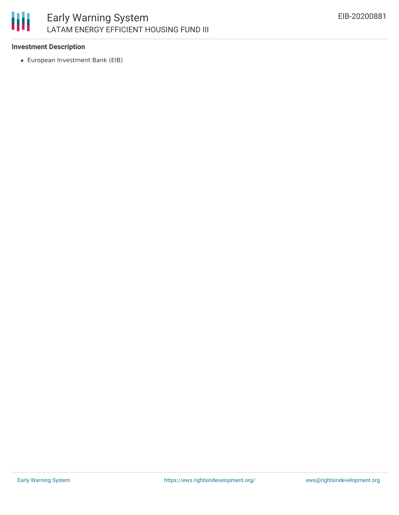# 朋

# **Investment Description**

European Investment Bank (EIB)